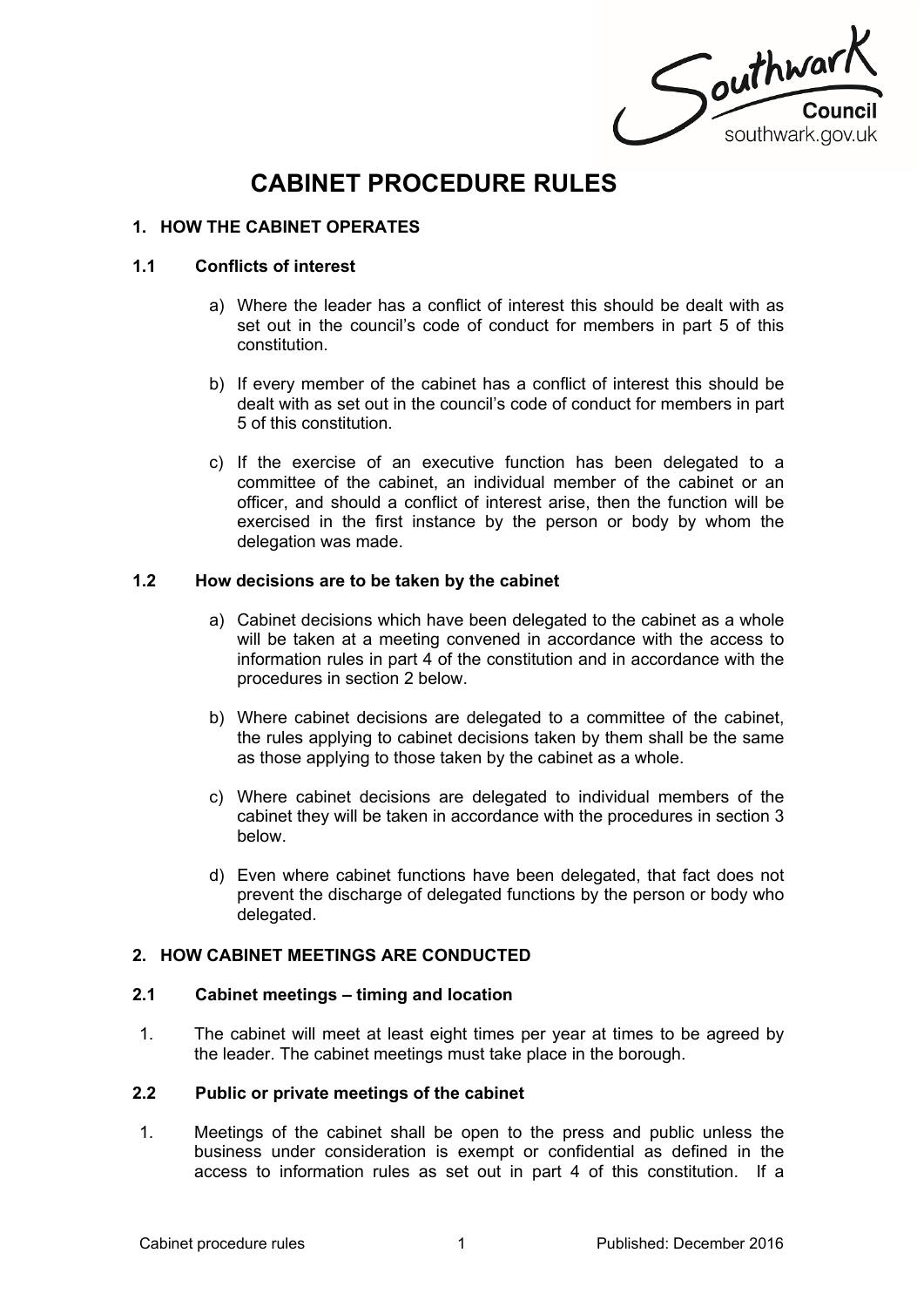

# **CABINET PROCEDURE RULES**

# **1. HOW THE CABINET OPERATES**

## **1.1 Conflicts of interest**

- a) Where the leader has a conflict of interest this should be dealt with as set out in the council's code of conduct for members in part 5 of this constitution.
- b) If every member of the cabinet has a conflict of interest this should be dealt with as set out in the council's code of conduct for members in part 5 of this constitution.
- c) If the exercise of an executive function has been delegated to a committee of the cabinet, an individual member of the cabinet or an officer, and should a conflict of interest arise, then the function will be exercised in the first instance by the person or body by whom the delegation was made.

## **1.2 How decisions are to be taken by the cabinet**

- a) Cabinet decisions which have been delegated to the cabinet as a whole will be taken at a meeting convened in accordance with the access to information rules in part 4 of the constitution and in accordance with the procedures in section 2 below.
- b) Where cabinet decisions are delegated to a committee of the cabinet, the rules applying to cabinet decisions taken by them shall be the same as those applying to those taken by the cabinet as a whole.
- c) Where cabinet decisions are delegated to individual members of the cabinet they will be taken in accordance with the procedures in section 3 below.
- d) Even where cabinet functions have been delegated, that fact does not prevent the discharge of delegated functions by the person or body who delegated.

## **2. HOW CABINET MEETINGS ARE CONDUCTED**

#### **2.1 Cabinet meetings – timing and location**

1. The cabinet will meet at least eight times per year at times to be agreed by the leader. The cabinet meetings must take place in the borough.

#### **2.2 Public or private meetings of the cabinet**

1. Meetings of the cabinet shall be open to the press and public unless the business under consideration is exempt or confidential as defined in the access to information rules as set out in part 4 of this constitution. If a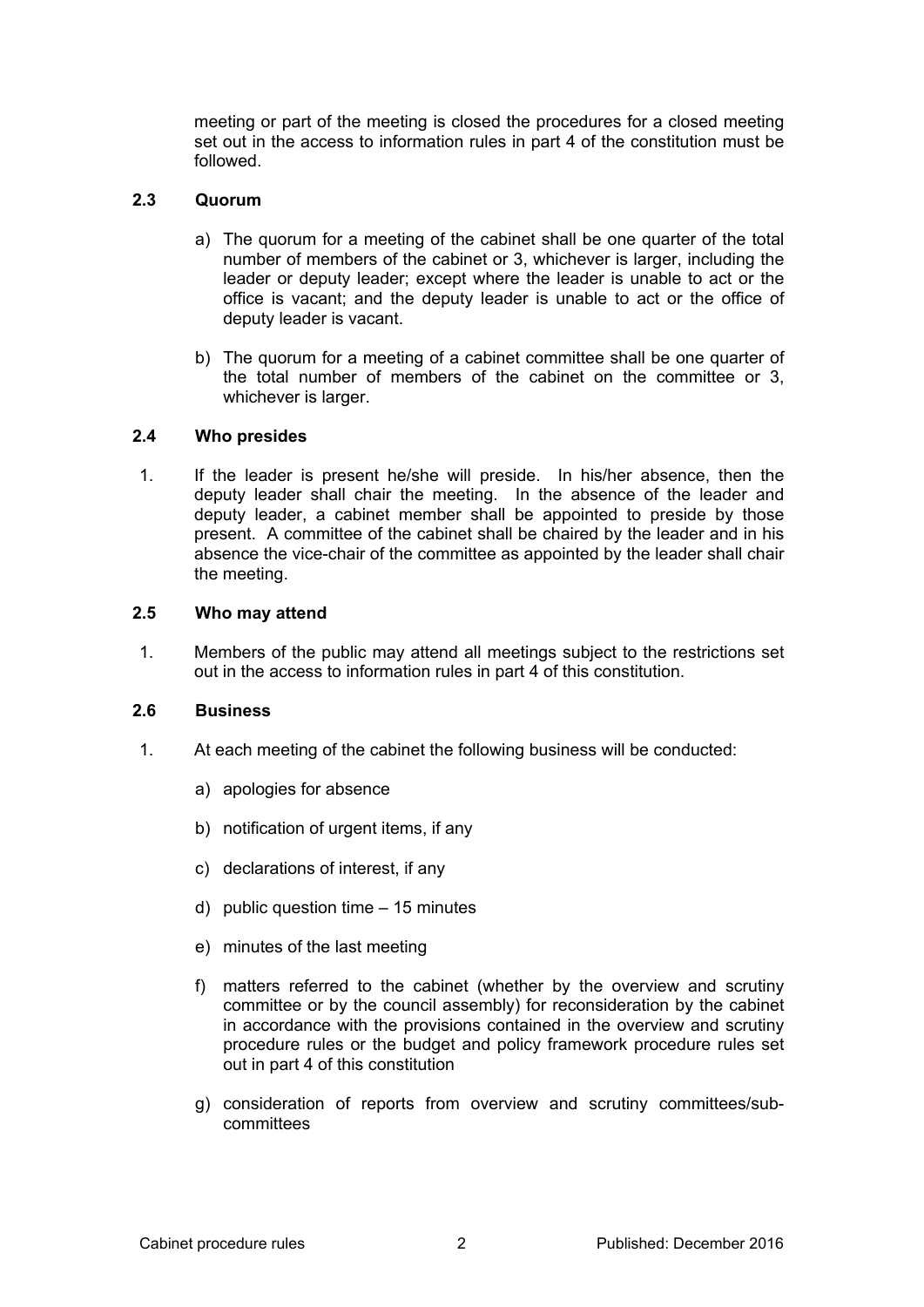meeting or part of the meeting is closed the procedures for a closed meeting set out in the access to information rules in part 4 of the constitution must be followed.

# **2.3 Quorum**

- a) The quorum for a meeting of the cabinet shall be one quarter of the total number of members of the cabinet or 3, whichever is larger, including the leader or deputy leader; except where the leader is unable to act or the office is vacant; and the deputy leader is unable to act or the office of deputy leader is vacant.
- b) The quorum for a meeting of a cabinet committee shall be one quarter of the total number of members of the cabinet on the committee or 3, whichever is larger.

## **2.4 Who presides**

1. If the leader is present he/she will preside. In his/her absence, then the deputy leader shall chair the meeting. In the absence of the leader and deputy leader, a cabinet member shall be appointed to preside by those present. A committee of the cabinet shall be chaired by the leader and in his absence the vice-chair of the committee as appointed by the leader shall chair the meeting.

## **2.5 Who may attend**

1. Members of the public may attend all meetings subject to the restrictions set out in the access to information rules in part 4 of this constitution.

#### **2.6 Business**

- 1. At each meeting of the cabinet the following business will be conducted:
	- a) apologies for absence
	- b) notification of urgent items, if any
	- c) declarations of interest, if any
	- d) public question time 15 minutes
	- e) minutes of the last meeting
	- f) matters referred to the cabinet (whether by the overview and scrutiny committee or by the council assembly) for reconsideration by the cabinet in accordance with the provisions contained in the overview and scrutiny procedure rules or the budget and policy framework procedure rules set out in part 4 of this constitution
	- g) consideration of reports from overview and scrutiny committees/subcommittees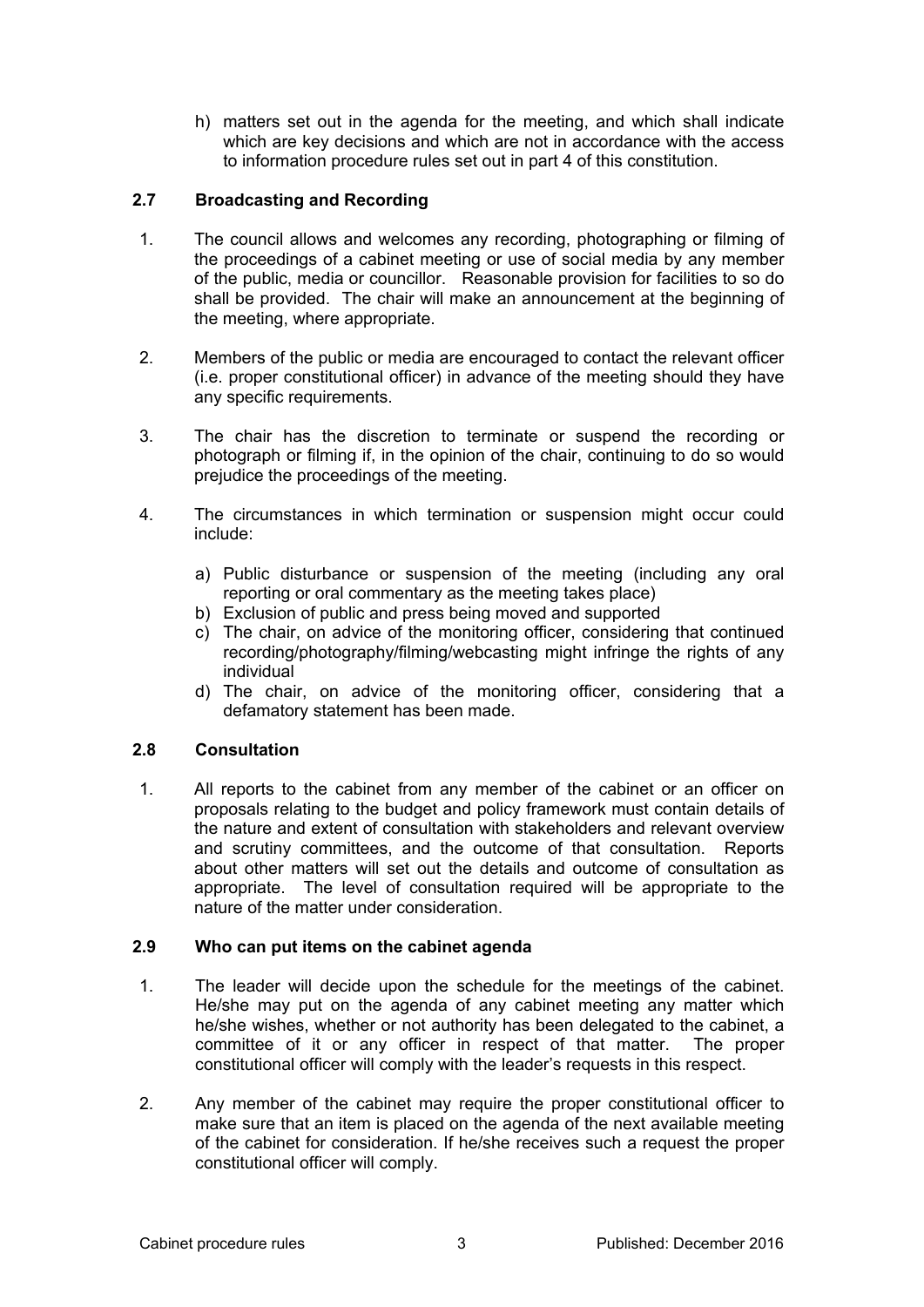h) matters set out in the agenda for the meeting, and which shall indicate which are key decisions and which are not in accordance with the access to information procedure rules set out in part 4 of this constitution.

# **2.7 Broadcasting and Recording**

- 1. The council allows and welcomes any recording, photographing or filming of the proceedings of a cabinet meeting or use of social media by any member of the public, media or councillor. Reasonable provision for facilities to so do shall be provided. The chair will make an announcement at the beginning of the meeting, where appropriate.
- 2. Members of the public or media are encouraged to contact the relevant officer (i.e. proper constitutional officer) in advance of the meeting should they have any specific requirements.
- 3. The chair has the discretion to terminate or suspend the recording or photograph or filming if, in the opinion of the chair, continuing to do so would prejudice the proceedings of the meeting.
- 4. The circumstances in which termination or suspension might occur could include:
	- a) Public disturbance or suspension of the meeting (including any oral reporting or oral commentary as the meeting takes place)
	- b) Exclusion of public and press being moved and supported
	- c) The chair, on advice of the monitoring officer, considering that continued recording/photography/filming/webcasting might infringe the rights of any individual
	- d) The chair, on advice of the monitoring officer, considering that a defamatory statement has been made.

## **2.8 Consultation**

1. All reports to the cabinet from any member of the cabinet or an officer on proposals relating to the budget and policy framework must contain details of the nature and extent of consultation with stakeholders and relevant overview and scrutiny committees, and the outcome of that consultation. Reports about other matters will set out the details and outcome of consultation as appropriate. The level of consultation required will be appropriate to the nature of the matter under consideration.

## **2.9 Who can put items on the cabinet agenda**

- 1. The leader will decide upon the schedule for the meetings of the cabinet. He/she may put on the agenda of any cabinet meeting any matter which he/she wishes, whether or not authority has been delegated to the cabinet, a committee of it or any officer in respect of that matter. The proper constitutional officer will comply with the leader's requests in this respect.
- 2. Any member of the cabinet may require the proper constitutional officer to make sure that an item is placed on the agenda of the next available meeting of the cabinet for consideration. If he/she receives such a request the proper constitutional officer will comply.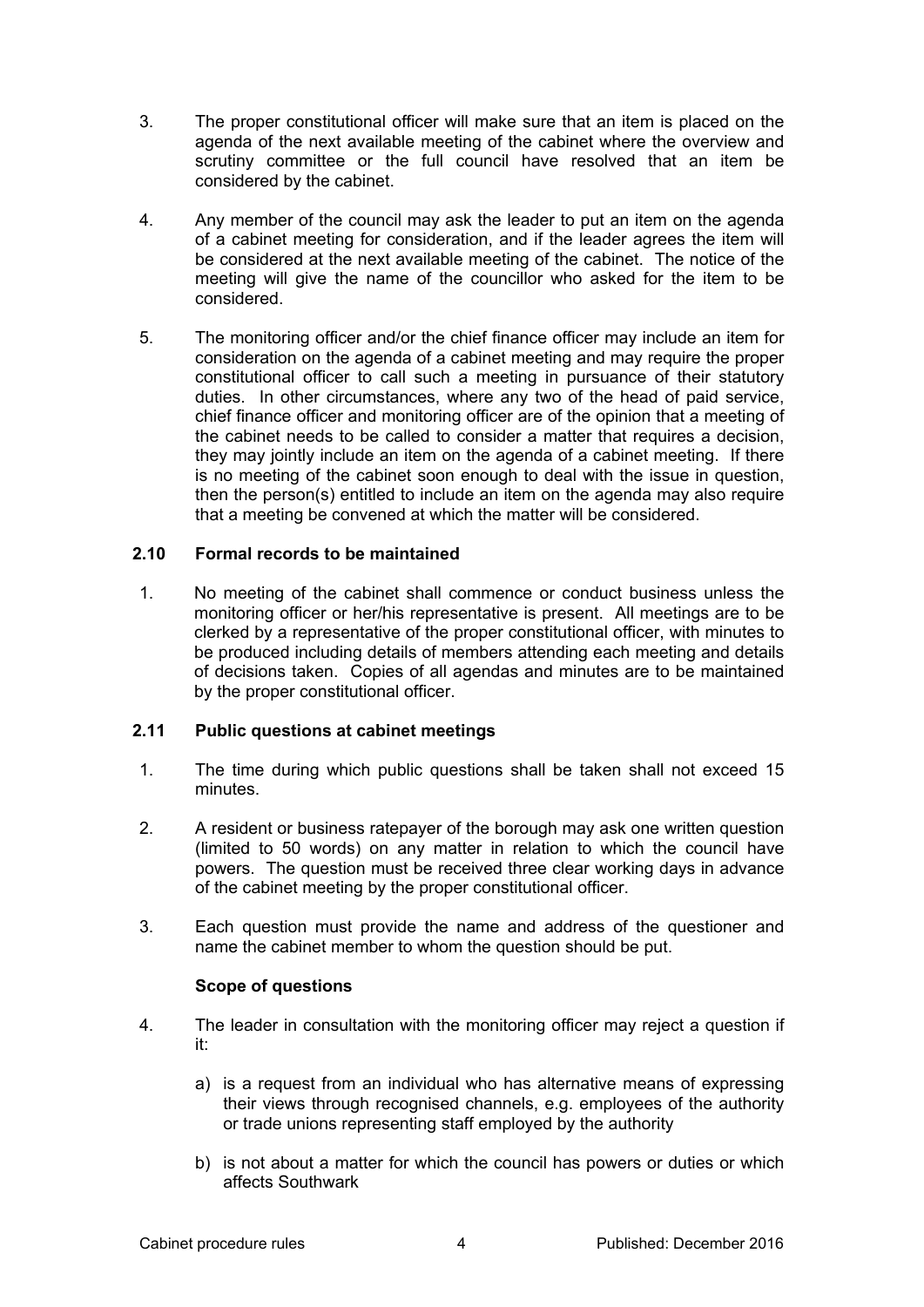- 3. The proper constitutional officer will make sure that an item is placed on the agenda of the next available meeting of the cabinet where the overview and scrutiny committee or the full council have resolved that an item be considered by the cabinet.
- 4. Any member of the council may ask the leader to put an item on the agenda of a cabinet meeting for consideration, and if the leader agrees the item will be considered at the next available meeting of the cabinet. The notice of the meeting will give the name of the councillor who asked for the item to be considered.
- 5. The monitoring officer and/or the chief finance officer may include an item for consideration on the agenda of a cabinet meeting and may require the proper constitutional officer to call such a meeting in pursuance of their statutory duties. In other circumstances, where any two of the head of paid service, chief finance officer and monitoring officer are of the opinion that a meeting of the cabinet needs to be called to consider a matter that requires a decision, they may jointly include an item on the agenda of a cabinet meeting. If there is no meeting of the cabinet soon enough to deal with the issue in question, then the person(s) entitled to include an item on the agenda may also require that a meeting be convened at which the matter will be considered.

## **2.10 Formal records to be maintained**

1. No meeting of the cabinet shall commence or conduct business unless the monitoring officer or her/his representative is present. All meetings are to be clerked by a representative of the proper constitutional officer, with minutes to be produced including details of members attending each meeting and details of decisions taken. Copies of all agendas and minutes are to be maintained by the proper constitutional officer.

# **2.11 Public questions at cabinet meetings**

- 1. The time during which public questions shall be taken shall not exceed 15 minutes.
- 2. A resident or business ratepayer of the borough may ask one written question (limited to 50 words) on any matter in relation to which the council have powers. The question must be received three clear working days in advance of the cabinet meeting by the proper constitutional officer.
- 3. Each question must provide the name and address of the questioner and name the cabinet member to whom the question should be put.

#### **Scope of questions**

- 4. The leader in consultation with the monitoring officer may reject a question if it:
	- a) is a request from an individual who has alternative means of expressing their views through recognised channels, e.g. employees of the authority or trade unions representing staff employed by the authority
	- b) is not about a matter for which the council has powers or duties or which affects Southwark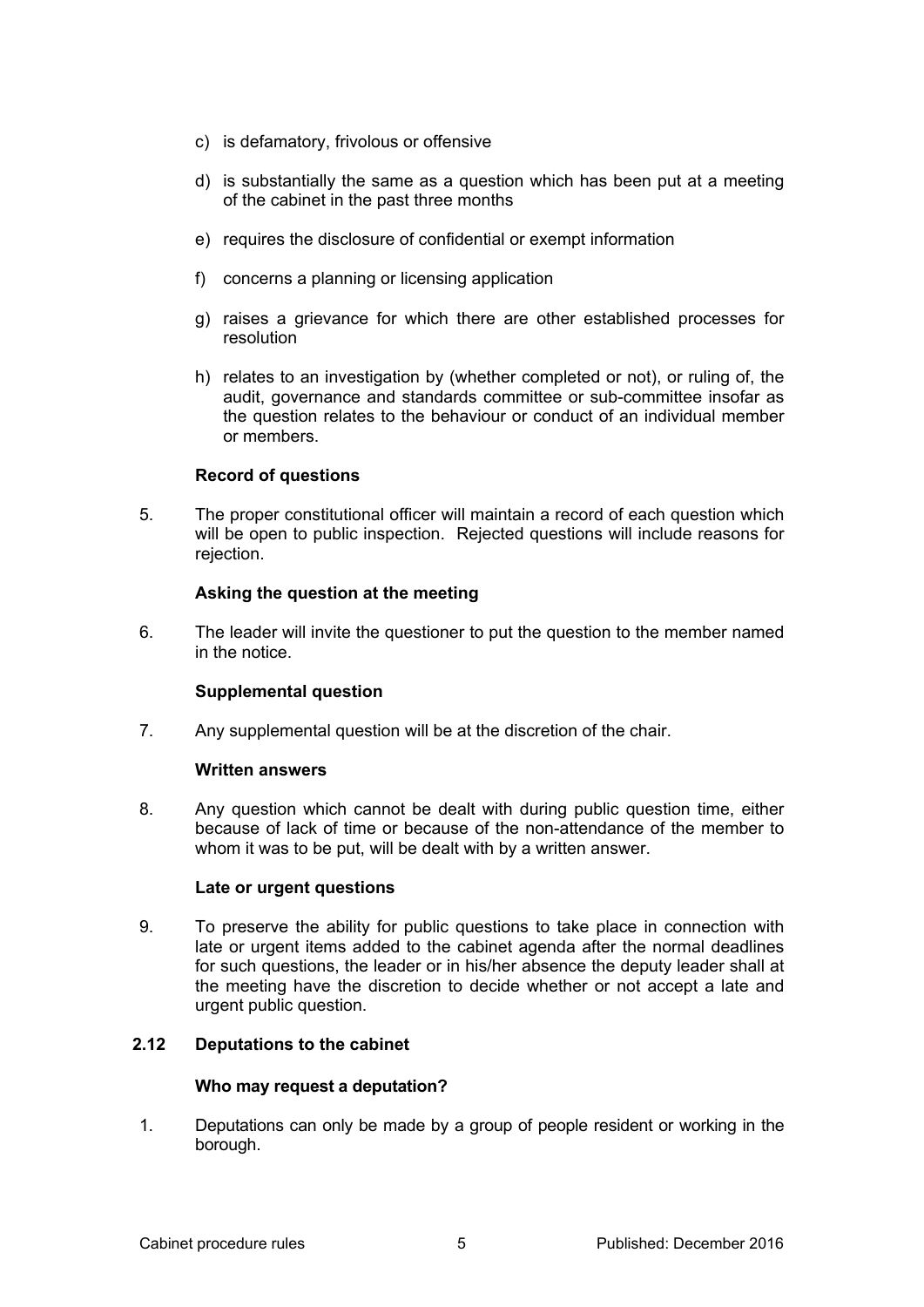- c) is defamatory, frivolous or offensive
- d) is substantially the same as a question which has been put at a meeting of the cabinet in the past three months
- e) requires the disclosure of confidential or exempt information
- f) concerns a planning or licensing application
- g) raises a grievance for which there are other established processes for resolution
- h) relates to an investigation by (whether completed or not), or ruling of, the audit, governance and standards committee or sub-committee insofar as the question relates to the behaviour or conduct of an individual member or members.

## **Record of questions**

5. The proper constitutional officer will maintain a record of each question which will be open to public inspection. Rejected questions will include reasons for rejection.

## **Asking the question at the meeting**

6. The leader will invite the questioner to put the question to the member named in the notice.

## **Supplemental question**

7. Any supplemental question will be at the discretion of the chair.

#### **Written answers**

8. Any question which cannot be dealt with during public question time, either because of lack of time or because of the non-attendance of the member to whom it was to be put, will be dealt with by a written answer.

#### **Late or urgent questions**

9. To preserve the ability for public questions to take place in connection with late or urgent items added to the cabinet agenda after the normal deadlines for such questions, the leader or in his/her absence the deputy leader shall at the meeting have the discretion to decide whether or not accept a late and urgent public question.

## **2.12 Deputations to the cabinet**

#### **Who may request a deputation?**

1. Deputations can only be made by a group of people resident or working in the borough.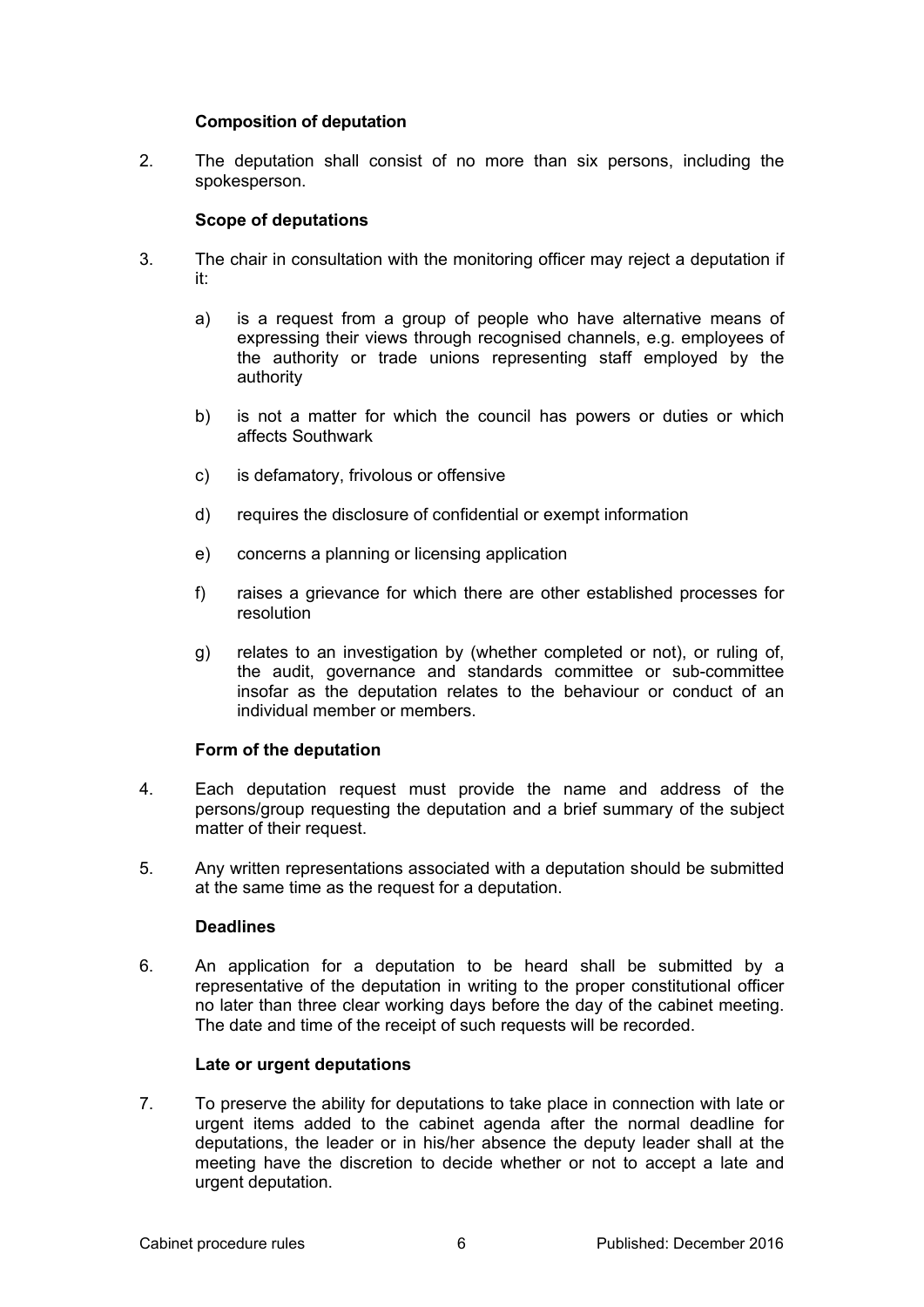## **Composition of deputation**

2. The deputation shall consist of no more than six persons, including the spokesperson.

## **Scope of deputations**

- 3. The chair in consultation with the monitoring officer may reject a deputation if it:
	- a) is a request from a group of people who have alternative means of expressing their views through recognised channels, e.g. employees of the authority or trade unions representing staff employed by the authority
	- b) is not a matter for which the council has powers or duties or which affects Southwark
	- c) is defamatory, frivolous or offensive
	- d) requires the disclosure of confidential or exempt information
	- e) concerns a planning or licensing application
	- f) raises a grievance for which there are other established processes for resolution
	- g) relates to an investigation by (whether completed or not), or ruling of, the audit, governance and standards committee or sub-committee insofar as the deputation relates to the behaviour or conduct of an individual member or members.

## **Form of the deputation**

- 4. Each deputation request must provide the name and address of the persons/group requesting the deputation and a brief summary of the subject matter of their request.
- 5. Any written representations associated with a deputation should be submitted at the same time as the request for a deputation.

#### **Deadlines**

6. An application for a deputation to be heard shall be submitted by a representative of the deputation in writing to the proper constitutional officer no later than three clear working days before the day of the cabinet meeting. The date and time of the receipt of such requests will be recorded.

#### **Late or urgent deputations**

7. To preserve the ability for deputations to take place in connection with late or urgent items added to the cabinet agenda after the normal deadline for deputations, the leader or in his/her absence the deputy leader shall at the meeting have the discretion to decide whether or not to accept a late and urgent deputation.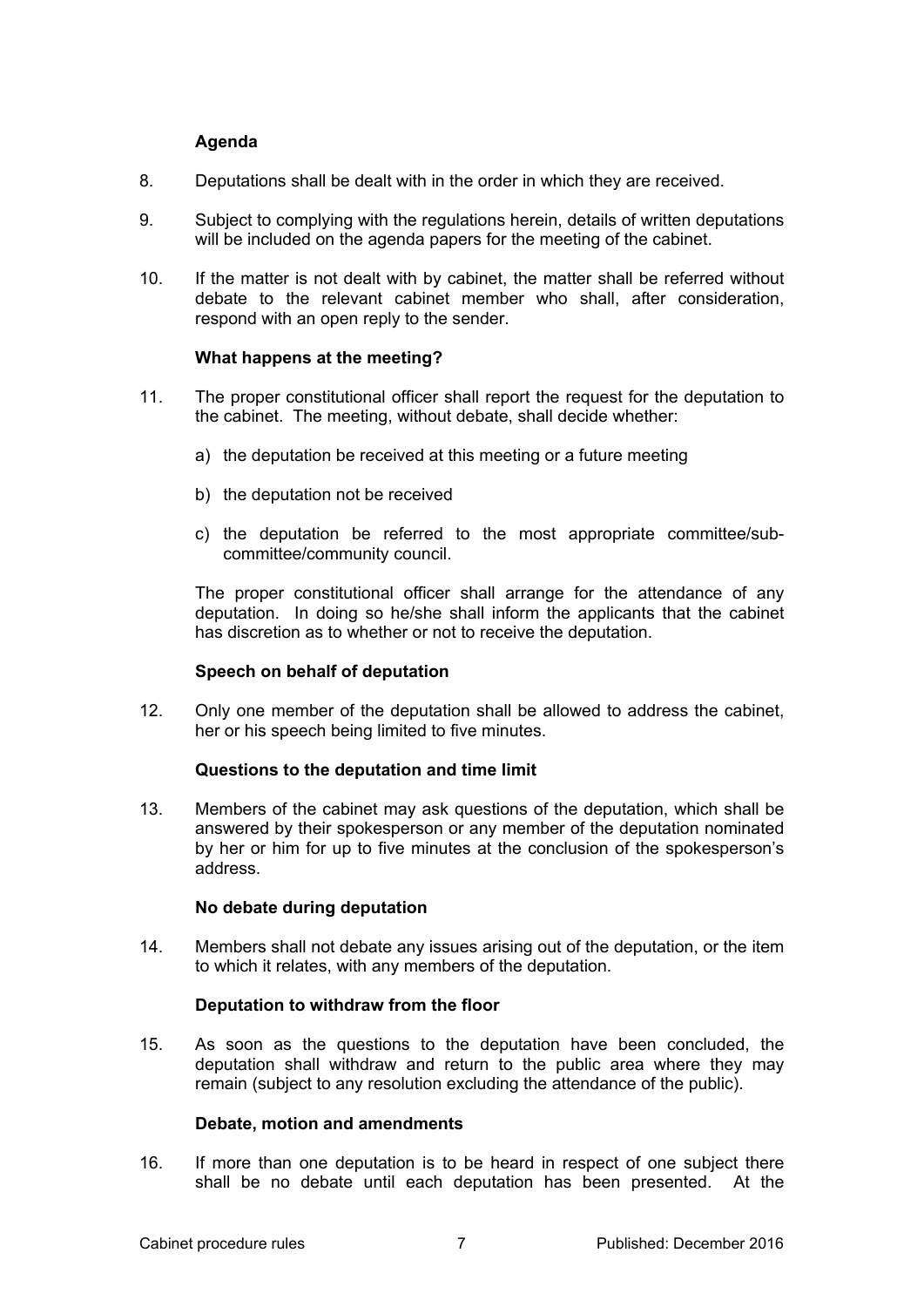# **Agenda**

- 8. Deputations shall be dealt with in the order in which they are received.
- 9. Subject to complying with the regulations herein, details of written deputations will be included on the agenda papers for the meeting of the cabinet.
- 10. If the matter is not dealt with by cabinet, the matter shall be referred without debate to the relevant cabinet member who shall, after consideration, respond with an open reply to the sender.

## **What happens at the meeting?**

- 11. The proper constitutional officer shall report the request for the deputation to the cabinet. The meeting, without debate, shall decide whether:
	- a) the deputation be received at this meeting or a future meeting
	- b) the deputation not be received
	- c) the deputation be referred to the most appropriate committee/subcommittee/community council.

The proper constitutional officer shall arrange for the attendance of any deputation. In doing so he/she shall inform the applicants that the cabinet has discretion as to whether or not to receive the deputation.

#### **Speech on behalf of deputation**

12. Only one member of the deputation shall be allowed to address the cabinet, her or his speech being limited to five minutes.

#### **Questions to the deputation and time limit**

13. Members of the cabinet may ask questions of the deputation, which shall be answered by their spokesperson or any member of the deputation nominated by her or him for up to five minutes at the conclusion of the spokesperson's address.

#### **No debate during deputation**

14. Members shall not debate any issues arising out of the deputation, or the item to which it relates, with any members of the deputation.

## **Deputation to withdraw from the floor**

15. As soon as the questions to the deputation have been concluded, the deputation shall withdraw and return to the public area where they may remain (subject to any resolution excluding the attendance of the public).

#### **Debate, motion and amendments**

16. If more than one deputation is to be heard in respect of one subject there shall be no debate until each deputation has been presented. At the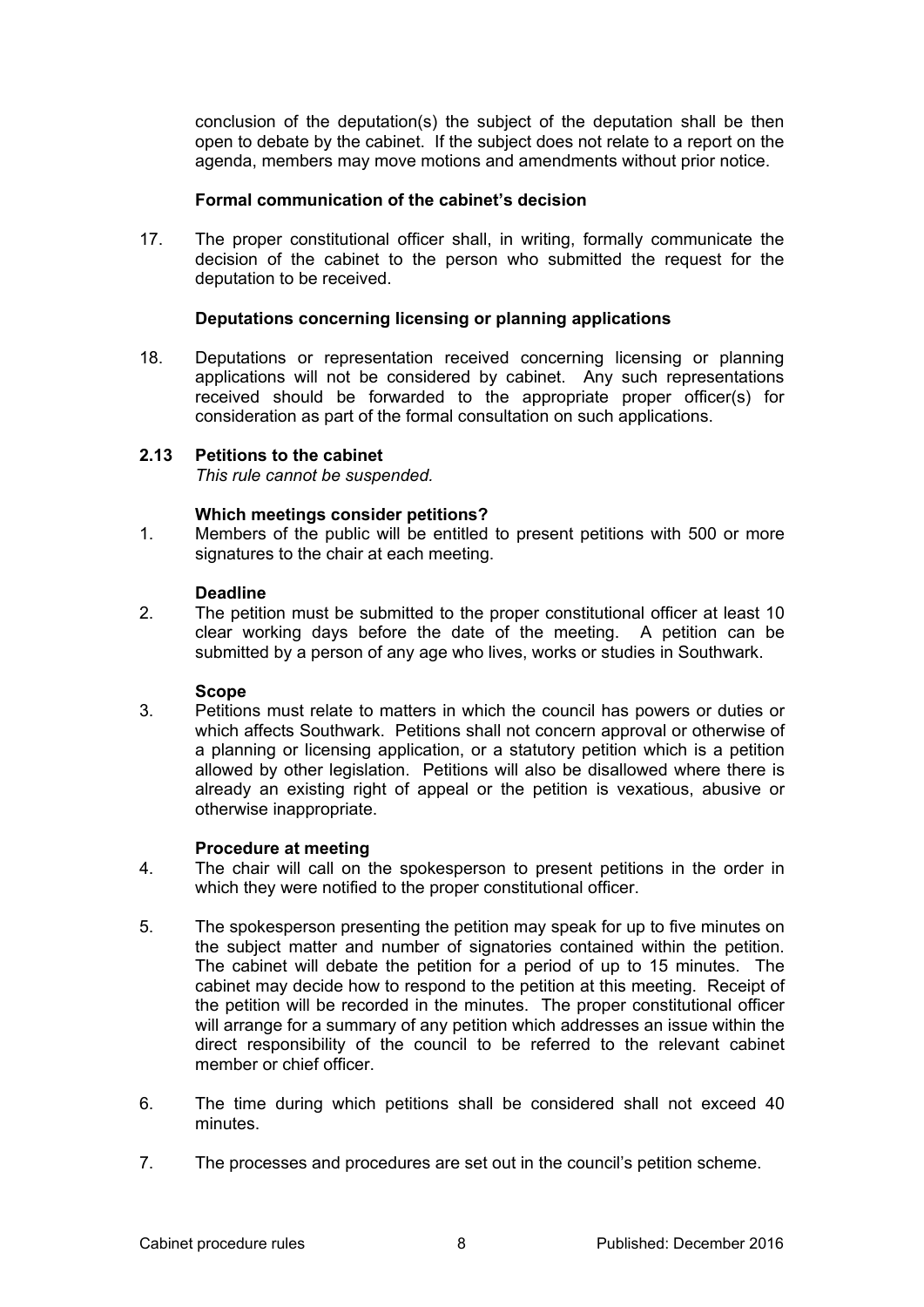conclusion of the deputation(s) the subject of the deputation shall be then open to debate by the cabinet. If the subject does not relate to a report on the agenda, members may move motions and amendments without prior notice.

## **Formal communication of the cabinet's decision**

17. The proper constitutional officer shall, in writing, formally communicate the decision of the cabinet to the person who submitted the request for the deputation to be received.

## **Deputations concerning licensing or planning applications**

18. Deputations or representation received concerning licensing or planning applications will not be considered by cabinet. Any such representations received should be forwarded to the appropriate proper officer(s) for consideration as part of the formal consultation on such applications.

## **2.13 Petitions to the cabinet**

*This rule cannot be suspended.* 

## **Which meetings consider petitions?**

1. Members of the public will be entitled to present petitions with 500 or more signatures to the chair at each meeting.

#### **Deadline**

2. The petition must be submitted to the proper constitutional officer at least 10 clear working days before the date of the meeting. A petition can be submitted by a person of any age who lives, works or studies in Southwark.

#### **Scope**

3. Petitions must relate to matters in which the council has powers or duties or which affects Southwark. Petitions shall not concern approval or otherwise of a planning or licensing application, or a statutory petition which is a petition allowed by other legislation. Petitions will also be disallowed where there is already an existing right of appeal or the petition is vexatious, abusive or otherwise inappropriate.

#### **Procedure at meeting**

- 4. The chair will call on the spokesperson to present petitions in the order in which they were notified to the proper constitutional officer.
- 5. The spokesperson presenting the petition may speak for up to five minutes on the subject matter and number of signatories contained within the petition. The cabinet will debate the petition for a period of up to 15 minutes. The cabinet may decide how to respond to the petition at this meeting. Receipt of the petition will be recorded in the minutes. The proper constitutional officer will arrange for a summary of any petition which addresses an issue within the direct responsibility of the council to be referred to the relevant cabinet member or chief officer.
- 6. The time during which petitions shall be considered shall not exceed 40 minutes.
- 7. The processes and procedures are set out in the council's petition scheme.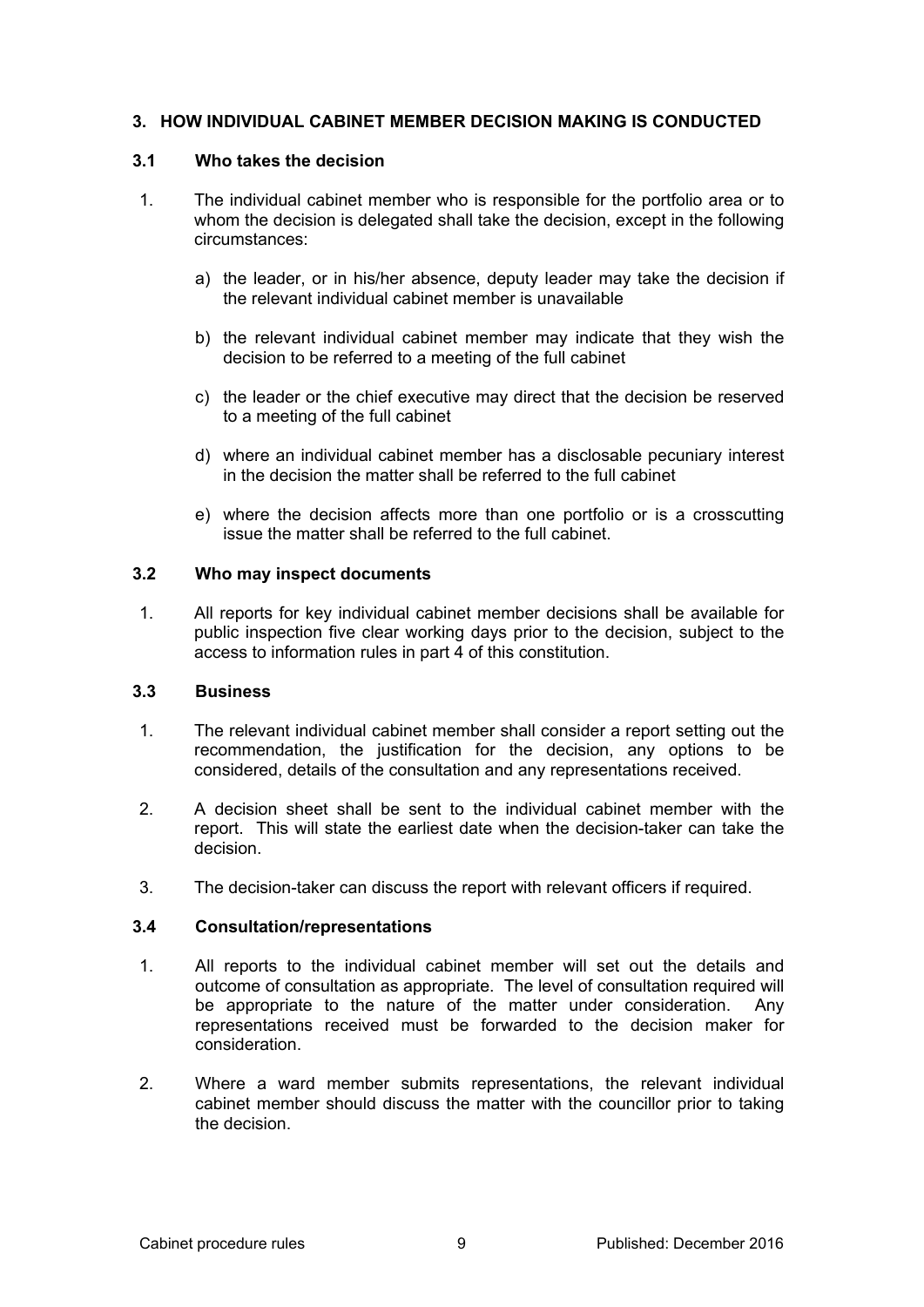## **3. HOW INDIVIDUAL CABINET MEMBER DECISION MAKING IS CONDUCTED**

#### **3.1 Who takes the decision**

- 1. The individual cabinet member who is responsible for the portfolio area or to whom the decision is delegated shall take the decision, except in the following circumstances:
	- a) the leader, or in his/her absence, deputy leader may take the decision if the relevant individual cabinet member is unavailable
	- b) the relevant individual cabinet member may indicate that they wish the decision to be referred to a meeting of the full cabinet
	- c) the leader or the chief executive may direct that the decision be reserved to a meeting of the full cabinet
	- d) where an individual cabinet member has a disclosable pecuniary interest in the decision the matter shall be referred to the full cabinet
	- e) where the decision affects more than one portfolio or is a crosscutting issue the matter shall be referred to the full cabinet.

## **3.2 Who may inspect documents**

1. All reports for key individual cabinet member decisions shall be available for public inspection five clear working days prior to the decision, subject to the access to information rules in part 4 of this constitution.

## **3.3 Business**

- 1. The relevant individual cabinet member shall consider a report setting out the recommendation, the justification for the decision, any options to be considered, details of the consultation and any representations received.
- 2. A decision sheet shall be sent to the individual cabinet member with the report. This will state the earliest date when the decision-taker can take the decision.
- 3. The decision-taker can discuss the report with relevant officers if required.

#### **3.4 Consultation/representations**

- 1. All reports to the individual cabinet member will set out the details and outcome of consultation as appropriate. The level of consultation required will be appropriate to the nature of the matter under consideration. Any representations received must be forwarded to the decision maker for consideration.
- 2. Where a ward member submits representations, the relevant individual cabinet member should discuss the matter with the councillor prior to taking the decision.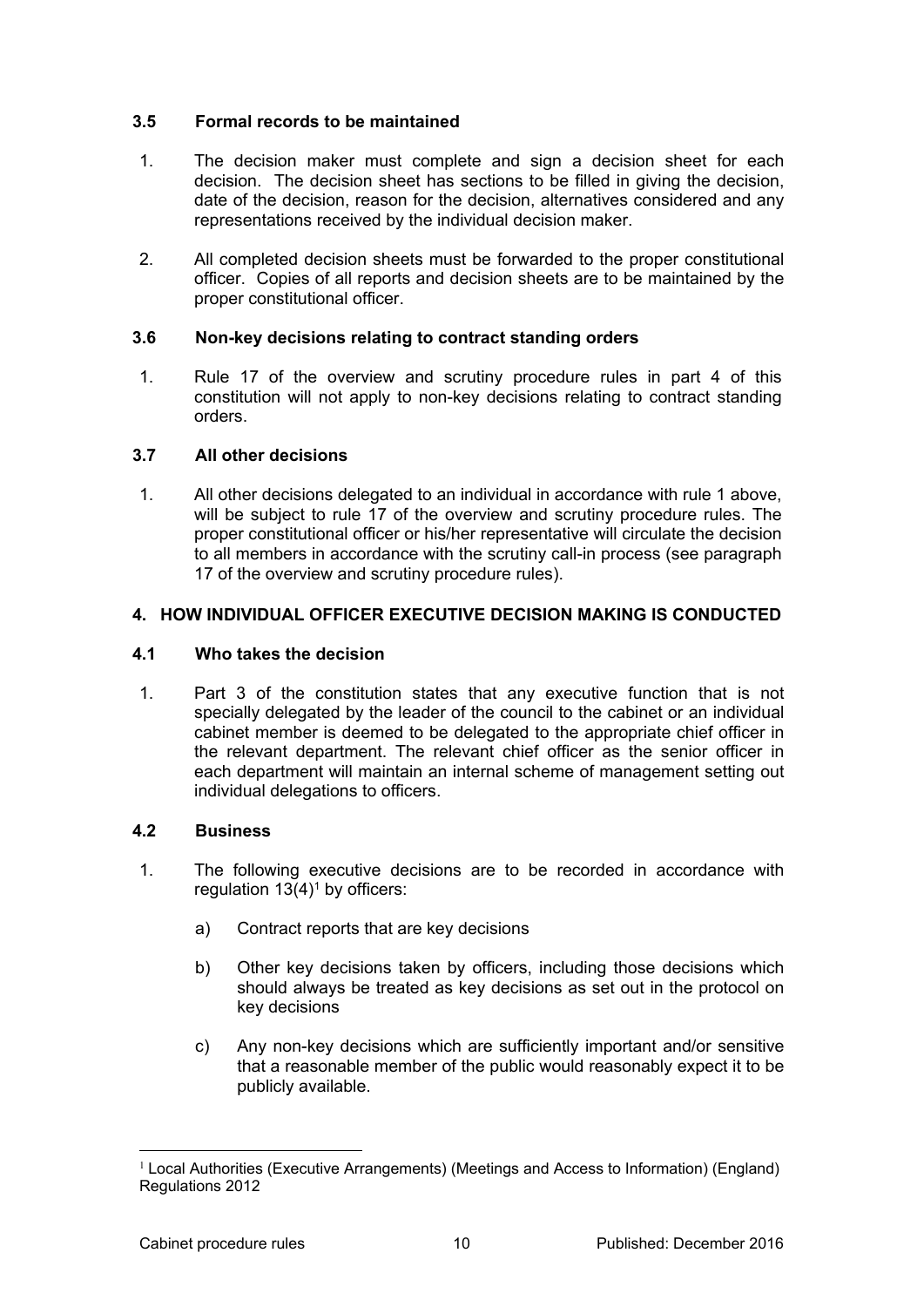## **3.5 Formal records to be maintained**

- 1. The decision maker must complete and sign a decision sheet for each decision. The decision sheet has sections to be filled in giving the decision, date of the decision, reason for the decision, alternatives considered and any representations received by the individual decision maker.
- 2. All completed decision sheets must be forwarded to the proper constitutional officer. Copies of all reports and decision sheets are to be maintained by the proper constitutional officer.

# **3.6 Non-key decisions relating to contract standing orders**

1. Rule 17 of the overview and scrutiny procedure rules in part 4 of this constitution will not apply to non-key decisions relating to contract standing orders.

# **3.7 All other decisions**

1. All other decisions delegated to an individual in accordance with rule 1 above, will be subject to rule 17 of the overview and scrutiny procedure rules. The proper constitutional officer or his/her representative will circulate the decision to all members in accordance with the scrutiny call-in process (see paragraph 17 of the overview and scrutiny procedure rules).

# **4. HOW INDIVIDUAL OFFICER EXECUTIVE DECISION MAKING IS CONDUCTED**

## **4.1 Who takes the decision**

1. Part 3 of the constitution states that any executive function that is not specially delegated by the leader of the council to the cabinet or an individual cabinet member is deemed to be delegated to the appropriate chief officer in the relevant department. The relevant chief officer as the senior officer in each department will maintain an internal scheme of management setting out individual delegations to officers.

## **4.2 Business**

- 1. The following executive decisions are to be recorded in accordance with regulation  $13(4)^1$  by officers:
	- a) Contract reports that are key decisions
	- b) Other key decisions taken by officers, including those decisions which should always be treated as key decisions as set out in the protocol on key decisions
	- c) Any non-key decisions which are sufficiently important and/or sensitive that a reasonable member of the public would reasonably expect it to be publicly available.

<sup>1</sup> Local Authorities (Executive Arrangements) (Meetings and Access to Information) (England) Regulations 2012